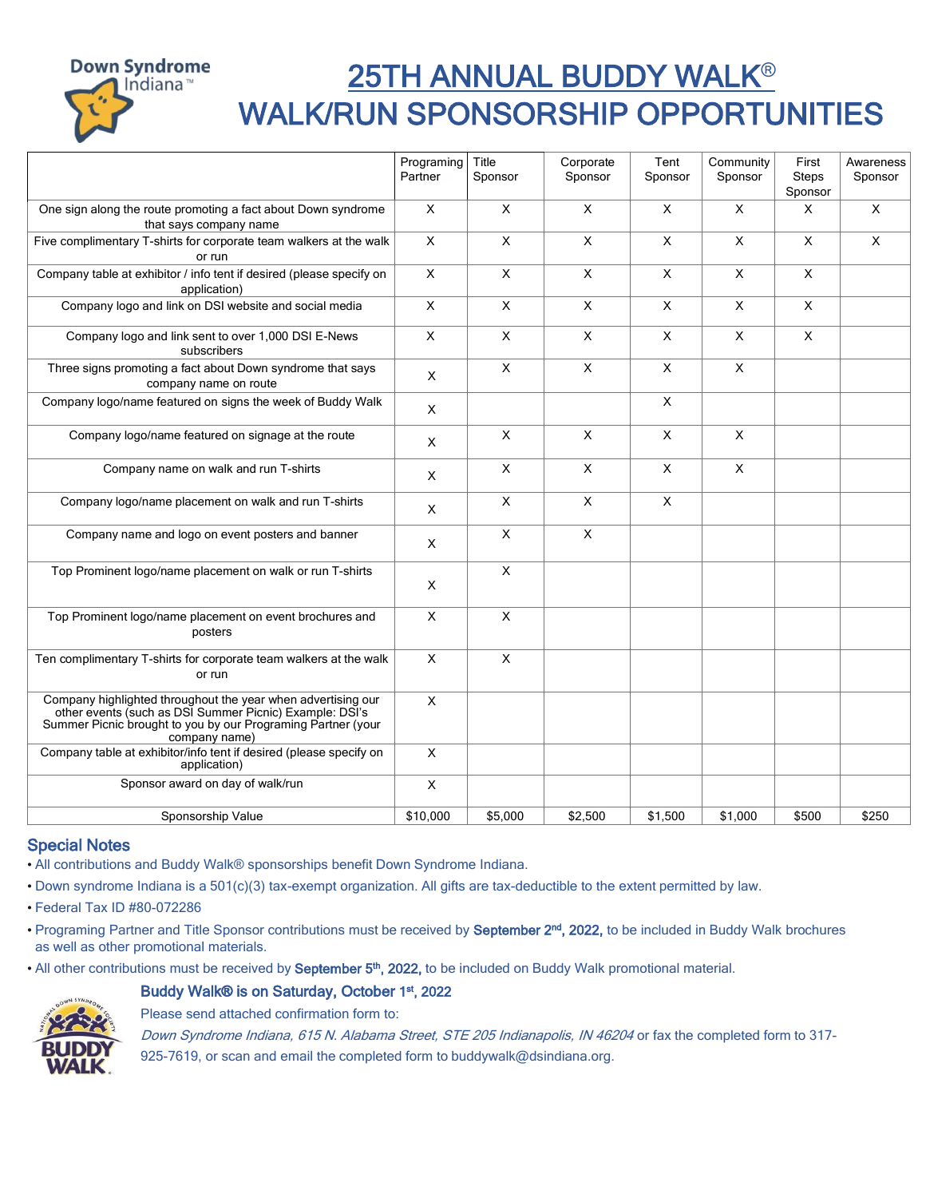

## 25TH ANNUAL BUDDY WALK® WALK/RUN SPONSORSHIP OPPORTUNITIES

|                                                                                                                                                                                                          | Programing                | Title                     | Corporate    | Tent     | Community                 | First                   | Awareness    |
|----------------------------------------------------------------------------------------------------------------------------------------------------------------------------------------------------------|---------------------------|---------------------------|--------------|----------|---------------------------|-------------------------|--------------|
|                                                                                                                                                                                                          | Partner                   | Sponsor                   | Sponsor      | Sponsor  | Sponsor                   | <b>Steps</b><br>Sponsor | Sponsor      |
| One sign along the route promoting a fact about Down syndrome<br>that says company name                                                                                                                  | X                         | $\mathsf{X}$              | $\mathsf{x}$ | $\times$ | $\mathsf{x}$              | X.                      | $\times$     |
| Five complimentary T-shirts for corporate team walkers at the walk<br>or run                                                                                                                             | X                         | $\times$                  | X            | X        | $\mathsf{X}$              | X                       | $\mathsf{X}$ |
| Company table at exhibitor / info tent if desired (please specify on<br>application)                                                                                                                     | X                         | $\pmb{\times}$            | $\mathsf{x}$ | X        | $\pmb{\times}$            | X                       |              |
| Company logo and link on DSI website and social media                                                                                                                                                    | X                         | $\times$                  | X            | X        | X                         | X                       |              |
| Company logo and link sent to over 1,000 DSI E-News<br>subscribers                                                                                                                                       | X                         | $\times$                  | X            | X        | $\sf X$                   | X                       |              |
| Three signs promoting a fact about Down syndrome that says<br>company name on route                                                                                                                      | $\pmb{\times}$            | $\mathsf{X}$              | $\mathsf{x}$ | X        | $\boldsymbol{\mathsf{X}}$ |                         |              |
| Company logo/name featured on signs the week of Buddy Walk                                                                                                                                               | X                         |                           |              | X        |                           |                         |              |
| Company logo/name featured on signage at the route                                                                                                                                                       | $\times$                  | $\mathsf{X}$              | $\mathsf{x}$ | X        | $\mathsf{x}$              |                         |              |
| Company name on walk and run T-shirts                                                                                                                                                                    | X                         | $\boldsymbol{\mathsf{X}}$ | X            | X        | $\pmb{\times}$            |                         |              |
| Company logo/name placement on walk and run T-shirts                                                                                                                                                     | $\times$                  | $\times$                  | X            | X        |                           |                         |              |
| Company name and logo on event posters and banner                                                                                                                                                        | X                         | $\pmb{\times}$            | X            |          |                           |                         |              |
| Top Prominent logo/name placement on walk or run T-shirts                                                                                                                                                | $\times$                  | $\times$                  |              |          |                           |                         |              |
| Top Prominent logo/name placement on event brochures and<br>posters                                                                                                                                      | $\pmb{\times}$            | $\pmb{\times}$            |              |          |                           |                         |              |
| Ten complimentary T-shirts for corporate team walkers at the walk<br>or run                                                                                                                              | $\mathsf{x}$              | $\boldsymbol{\mathsf{X}}$ |              |          |                           |                         |              |
| Company highlighted throughout the year when advertising our<br>other events (such as DSI Summer Picnic) Example: DSI's<br>Summer Picnic brought to you by our Programing Partner (your<br>company name) | $\times$                  |                           |              |          |                           |                         |              |
| Company table at exhibitor/info tent if desired (please specify on<br>application)                                                                                                                       | $\boldsymbol{\mathsf{X}}$ |                           |              |          |                           |                         |              |
| Sponsor award on day of walk/run                                                                                                                                                                         | $\pmb{\times}$            |                           |              |          |                           |                         |              |
| Sponsorship Value                                                                                                                                                                                        | \$10,000                  | \$5,000                   | \$2.500      | \$1,500  | \$1.000                   | \$500                   | \$250        |

## Special Notes

• All contributions and Buddy Walk® sponsorships benefit Down Syndrome Indiana.

• Down syndrome Indiana is a 501(c)(3) tax-exempt organization. All gifts are tax-deductible to the extent permitted by law.

• Federal Tax ID #80-072286

• Programing Partner and Title Sponsor contributions must be received by September 2<sup>nd</sup>, 2022, to be included in Buddy Walk brochures as well as other promotional materials.

• All other contributions must be received by September 5<sup>th</sup>, 2022, to be included on Buddy Walk promotional material.

## Buddy Walk® is on Saturday, October 1<sup>st</sup>, 2022



Please send attached confirmation form to:

Down Syndrome Indiana, 615 N. Alabama Street, STE 205 Indianapolis, IN 46204 or fax the completed form to 317-925-7619, or scan and email the completed form to buddywalk@dsindiana.org.